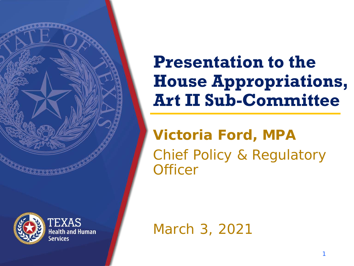



**EXAS Jealth and Human** 

# **Presentation to the House Appropriations, Art II Sub-Committee**

**Victoria Ford, MPA** Chief Policy & Regulatory **Officer** 

March 3, 2021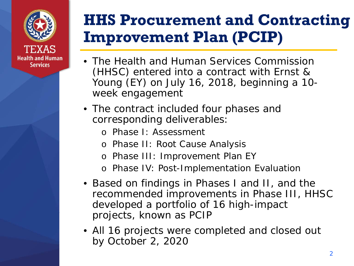

## **HHS Procurement and Contracting Improvement Plan (PCIP)**

- The Health and Human Services Commission (HHSC) entered into a contract with Ernst & Young (EY) on July 16, 2018, beginning a 10 week engagement
- The contract included four phases and corresponding deliverables:
	- o Phase I: Assessment
	- o Phase II: Root Cause Analysis
	- o Phase III: Improvement Plan EY
	- o Phase IV: Post-Implementation Evaluation
- Based on findings in Phases I and II, and the recommended improvements in Phase III, HHSC developed a portfolio of 16 high-impact projects, known as PCIP
- All 16 projects were completed and closed out by October 2, 2020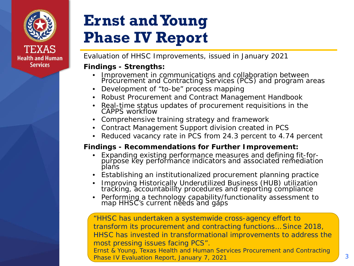

TEXAS **Health and Human Services** 

### **Ernst and Young Phase IV Report**

Evaluation of HHSC Improvements, issued in January 2021

#### **Findings - Strengths:**

- Improvement in communications and collaboration between Procurement and Contracting Services (PCS) and program areas
- Development of "to-be" process mapping

Phase IV Evaluation Report, January 7, 2021

- Robust Procurement and Contract Management Handbook
- Real-time status updates of procurement requisitions in the CAPPS workflow
- Comprehensive training strategy and framework
- Contract Management Support division created in PCS
- Reduced vacancy rate in PCS from 24.3 percent to 4.74 percent

#### **Findings - Recommendations for Further Improvement:**

- Expanding existing performance measures and defining fit-for- purpose key performance indicators and associated remediation plans
- Establishing an institutionalized procurement planning practice
- Improving Historically Underutilized Business (HUB) utilization tracking, accountability procedures and reporting compliance
- Performing a technology capability/functionality assessment to map HHSC's current nĕéds and găps

*"HHSC has undertaken a systemwide cross-agency effort to transform its procurement and contracting functions… Since 2018, HHSC has invested in transformational improvements to address the most pressing issues facing PCS".* Ernst & Young, Texas Health and Human Services Procurement and Contracting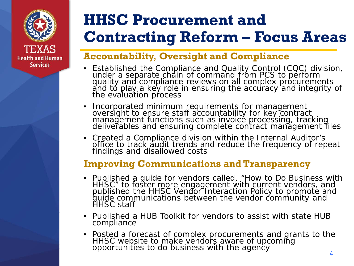

**Health and Human Services** 

# **HHSC Procurement and Contracting Reform – Focus Areas**

### **Accountability, Oversight and Compliance**

- Established the Compliance and Quality Control (CQC) division, under a separate chain of command from PCS to perform quality and compliance reviews on all complex procurements and to play a key role in ensuring the accuracy and integrity of the evaluation process
- Incorporated minimum requirements for management oversight to ensure staff accountability for key contract management functions such as invoice processing, tracking deliverables and ensuring complete contract management files
- Created a Compliance division within the Internal Auditor's office to track audit trends and reduce the frequency of repeat findings and disallowed costs

### **Improving Communications and Transparency**

- Published a guide for vendors called, "How to Do Business with HHSC" to foster more engagement with current vendors, and published the HHSC Vendor Interaction Policy to promote and guide communications between the vendor community and **HHSC staff**
- Published a HUB Toolkit for vendors to assist with state HUB compliance
- Posted a forecast of complex procurements and grants to the HHSC website to make vendors aware of upcoming opportunities to do business with the agency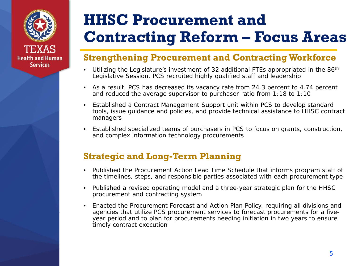

**Services** 

## **HHSC Procurement and Contracting Reform – Focus Areas**

### **Strengthening Procurement and Contracting Workforce**

- Utilizing the Legislature's investment of 32 additional FTEs appropriated in the 86<sup>th</sup> Legislative Session, PCS recruited highly qualified staff and leadership
- As a result, PCS has decreased its vacancy rate from 24.3 percent to 4.74 percent and reduced the average supervisor to purchaser ratio from 1:18 to 1:10
- Established a Contract Management Support unit within PCS to develop standard tools, issue guidance and policies, and provide technical assistance to HHSC contract managers
- Established specialized teams of purchasers in PCS to focus on grants, construction, and complex information technology procurements

### **Strategic and Long-Term Planning**

- Published the Procurement Action Lead Time Schedule that informs program staff of the timelines, steps, and responsible parties associated with each procurement type
- Published a revised operating model and a three-year strategic plan for the HHSC procurement and contracting system
- Enacted the Procurement Forecast and Action Plan Policy, requiring all divisions and agencies that utilize PCS procurement services to forecast procurements for a fiveyear period and to plan for procurements needing initiation in two years to ensure timely contract execution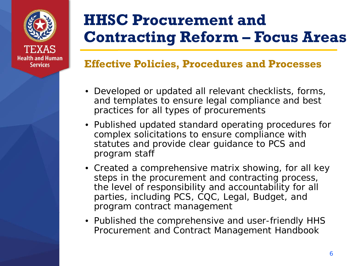

## **HHSC Procurement and Contracting Reform – Focus Areas**

### **Effective Policies, Procedures and Processes**

- Developed or updated all relevant checklists, forms, and templates to ensure legal compliance and best practices for all types of procurements
- Published updated standard operating procedures for complex solicitations to ensure compliance with statutes and provide clear guidance to PCS and program staff
- Created a comprehensive matrix showing, for all key steps in the procurement and contracting process, the level of responsibility and accountability for all parties, including PCS, CQC, Legal, Budget, and program contract management
- Published the comprehensive and user-friendly HHS Procurement and Contract Management Handbook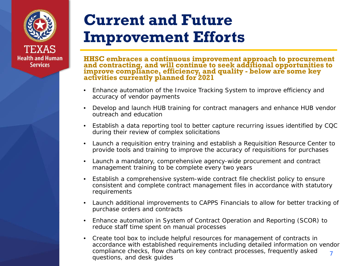

TEXAS **Health and Human Services** 

### **Current and Future Improvement Efforts**

**HHSC embraces a continuous improvement approach to procurement and contracting, and will continue to seek additional opportunities to improve compliance, efficiency, and quality - below are some key activities currently planned for 2021**

- Enhance automation of the Invoice Tracking System to improve efficiency and accuracy of vendor payments
- Develop and launch HUB training for contract managers and enhance HUB vendor outreach and education
- Establish a data reporting tool to better capture recurring issues identified by CQC during their review of complex solicitations
- Launch a requisition entry training and establish a Requisition Resource Center to provide tools and training to improve the accuracy of requisitions for purchases
- Launch a mandatory, comprehensive agency-wide procurement and contract management training to be complete every two years
- Establish a comprehensive system-wide contract file checklist policy to ensure consistent and complete contract management files in accordance with statutory requirements
- Launch additional improvements to CAPPS Financials to allow for better tracking of purchase orders and contracts
- Enhance automation in System of Contract Operation and Reporting (SCOR) to reduce staff time spent on manual processes
- Create tool box to include helpful resources for management of contracts in accordance with established requirements including detailed information on vendor compliance checks, flow charts on key contract processes, frequently asked  $\qquad \qquad \frac{}{7}$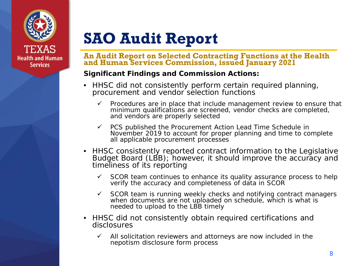

**Health and Human Services** 

# **SAO Audit Report**

**An Audit Report on Selected Contracting Functions at the Health and Human Services Commission, issued January 2021**

#### **Significant Findings and Commission Actions:**

- HHSC did not consistently perform certain required planning, procurement and vendor selection functions
	- $\checkmark$  Procedures are in place that include management review to ensure that minimum qualifications are screened, vendor checks are completed, and vendors are properly selected
	- $\checkmark$  PCS published the Procurement Action Lead Time Schedule in November 2019 to account for proper planning and time to complete all applicable procurement processes
- HHSC consistently reported contract information to the Legislative Budget Board (LBB); however, it should improve the accuracy and timeliness of its reporting
	- $\checkmark$  SCOR team continues to enhance its quality assurance process to help verify the accuracy and completeness of data in SCOR
	- $\checkmark$  SCOR team is running weekly checks and notifying contract managers when documents are not uploaded on schedule, which is what is needed to upload to the LBB timely
- HHSC did not consistently obtain required certifications and disclosures
	- $\checkmark$  All solicitation reviewers and attorneys are now included in the nepotism disclosure form process